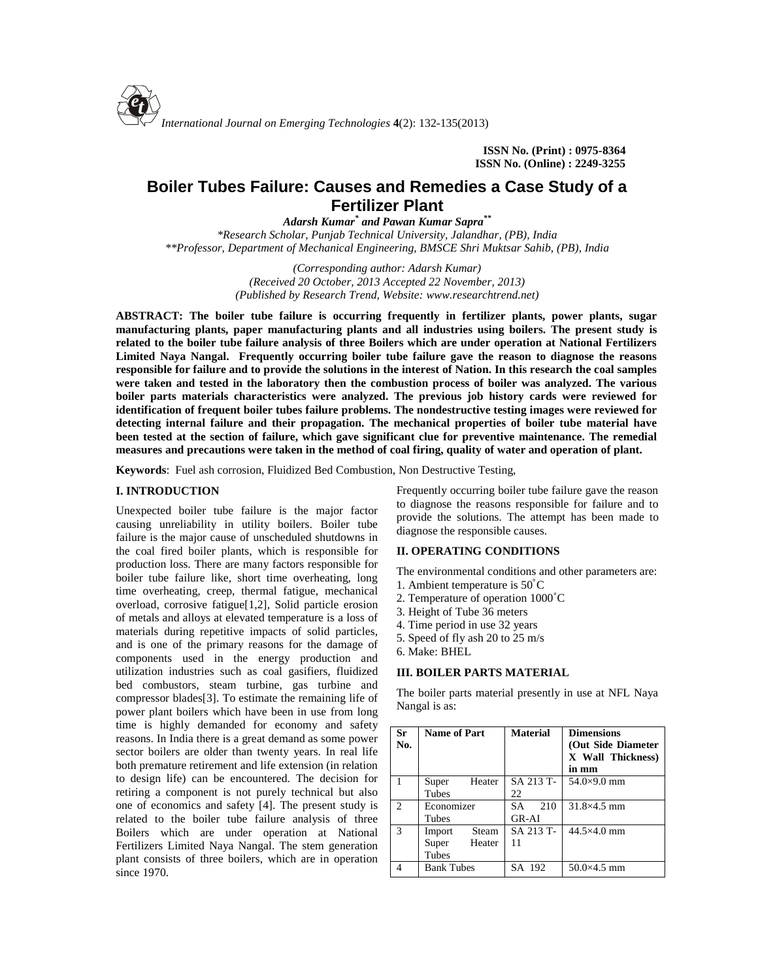

**ISSN No. (Print) : 0975-8364 ISSN No. (Online) : 2249-3255**

# **Boiler Tubes Failure: Causes and Remedies a Case Study of a Fertilizer Plant**

*Adarsh Kumar \* and Pawan Kumar Sapra\*\* \*Research Scholar, Punjab Technical University, Jalandhar, (PB), India \*\*Professor, Department of Mechanical Engineering, BMSCE Shri Muktsar Sahib, (PB), India*

> *(Corresponding author: Adarsh Kumar) (Received 20 October, 2013 Accepted 22 November, 2013) (Published by Research Trend, Website: <www.researchtrend.net>)*

**ABSTRACT: The boiler tube failure is occurring frequently in fertilizer plants, power plants, sugar manufacturing plants, paper manufacturing plants and all industries using boilers. The present study is related to the boiler tube failure analysis of three Boilers which are under operation at National Fertilizers Limited Naya Nangal. Frequently occurring boiler tube failure gave the reason to diagnose the reasons responsible for failure and to provide the solutions in the interest of Nation. In this research the coal samples were taken and tested in the laboratory then the combustion process of boiler was analyzed. The various boiler parts materials characteristics were analyzed. The previous job history cards were reviewed for identification of frequent boiler tubes failure problems. The nondestructive testing images were reviewed for detecting internal failure and their propagation. The mechanical properties of boiler tube material have been tested at the section of failure, which gave significant clue for preventive maintenance. The remedial measures and precautions were taken in the method of coal firing, quality of water and operation of plant.**

**Keywords**: Fuel ash corrosion, Fluidized Bed Combustion, Non Destructive Testing,

# **I. INTRODUCTION**

Unexpected boiler tube failure is the major factor causing unreliability in utility boilers. Boiler tube failure is the major cause of unscheduled shutdowns in the coal fired boiler plants, which is responsible for production loss. There are many factors responsible for boiler tube failure like, short time overheating, long time overheating, creep, thermal fatigue, mechanical overload, corrosive fatigue[1,2], Solid particle erosion of metals and alloys at elevated temperature is a loss of materials during repetitive impacts of solid particles, and is one of the primary reasons for the damage of components used in the energy production and utilization industries such as coal gasifiers, fluidized bed combustors, steam turbine, gas turbine and compressor blades[3]. To estimate the remaining life of power plant boilers which have been in use from long time is highly demanded for economy and safety reasons. In India there is a great demand as some power sector boilers are older than twenty years. In real life both premature retirement and life extension (in relation to design life) can be encountered. The decision for retiring a component is not purely technical but also one of economics and safety [4]. The present study is related to the boiler tube failure analysis of three Boilers which are under operation at National Fertilizers Limited Naya Nangal. The stem generation plant consists of three boilers, which are in operation since 1970.

Frequently occurring boiler tube failure gave the reason to diagnose the reasons responsible for failure and to provide the solutions. The attempt has been made to diagnose the responsible causes.

## **II. OPERATING CONDITIONS**

The environmental conditions and other parameters are:

- 1. Ambient temperature is 50˚C
- 2. Temperature of operation 1000˚C
- 3. Height of Tube 36 meters
- 4. Time period in use 32 years
- 5. Speed of fly ash 20 to 25 m/s
- 6. Make: BHEL

# **III. BOILER PARTS MATERIAL**

The boiler parts material presently in use at NFL Naya Nangal is as:

| <b>Sr</b><br>No. | <b>Name of Part</b>                         | <b>Material</b>             | <b>Dimensions</b><br>(Out Side Diameter<br>X Wall Thickness)<br>in mm |
|------------------|---------------------------------------------|-----------------------------|-----------------------------------------------------------------------|
|                  | Heater<br>Super<br>Tubes                    | SA 213 T-<br>22             | $54.0\times9.0$ mm                                                    |
| $\mathcal{L}$    | Economizer<br>Tubes                         | 210<br><b>SA</b><br>$GR-AI$ | 31.8×4.5 mm                                                           |
| 3                | Steam<br>Import<br>Super<br>Heater<br>Tubes | SA 213 T-<br>11             | $44.5\times4.0$ mm                                                    |
|                  | <b>Bank Tubes</b>                           | SA 192                      | $50.0\times4.5$ mm                                                    |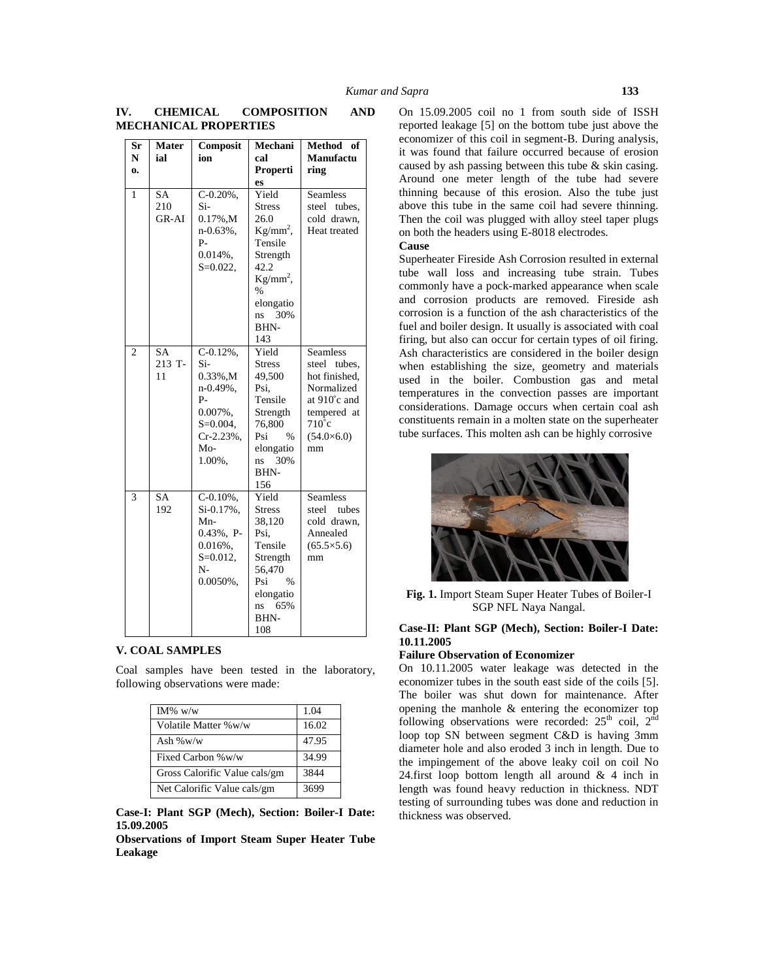| Sr<br>N        | <b>Mater</b><br>ial       | Composit<br>ion                                                                                                      | Mechani<br>cal                                                                                                                                        | Method of<br><b>Manufactu</b>                                                                                                               |
|----------------|---------------------------|----------------------------------------------------------------------------------------------------------------------|-------------------------------------------------------------------------------------------------------------------------------------------------------|---------------------------------------------------------------------------------------------------------------------------------------------|
| $\mathbf{0}$   |                           |                                                                                                                      | Properti                                                                                                                                              | ring                                                                                                                                        |
|                |                           |                                                                                                                      | es                                                                                                                                                    |                                                                                                                                             |
| 1              | <b>SA</b><br>210<br>GR-AI | $C-0.20%$ .<br>Si-<br>$0.17\%$ , M<br>$n-0.63%$ ,<br>P-<br>$0.014%$ .<br>$S = 0.022$ ,                               | Yield<br><b>Stress</b><br>26.0<br>$Kg/mm^2$ ,<br>Tensile<br>Strength<br>42.2<br>$Kg/mm^2$ ,<br>$\frac{0}{0}$<br>elongatio<br>30%<br>ns<br>BHN-<br>143 | <b>Seamless</b><br>tubes,<br>steel<br>cold drawn.<br>Heat treated                                                                           |
| $\overline{2}$ | SA<br>213 T-<br>11        | $C-0.12%$ .<br>$Si-$<br>0.33%,M<br>n-0.49%,<br>P-<br>$0.007\%$ .<br>$S = 0.004$ ,<br>$Cr-2.23%$ ,<br>$Mo-$<br>1.00%, | Yield<br><b>Stress</b><br>49,500<br>Psi.<br>Tensile<br>Strength<br>76,800<br>Psi<br>$\%$<br>elongatio<br>30%<br>ns<br>BHN-<br>156                     | <b>Seamless</b><br>steel tubes,<br>hot finished,<br>Normalized<br>at 910°c and<br>tempered at<br>$710^{\circ}$ c<br>$(54.0\times6.0)$<br>mm |
| 3              | <b>SA</b><br>192          | $C-0.10%$ .<br>Si-0.17%,<br>Mn-<br>$0.43\%$ , P-<br>$0.016%$ ,<br>$S = 0.012$ ,<br>$N-$<br>0.0050%,                  | Yield<br><b>Stress</b><br>38,120<br>Psi,<br>Tensile<br>Strength<br>56,470<br>Psi<br>$\%$<br>elongatio<br>65%<br>ns<br>BHN-<br>108                     | <b>Seamless</b><br>tubes<br>steel<br>cold drawn,<br>Annealed<br>$(65.5\times5.6)$<br>mm                                                     |

# **IV. CHEMICAL COMPOSITION AND MECHANICAL PROPERTIES**

## **V. COAL SAMPLES**

Coal samples have been tested in the laboratory, following observations were made:

| IM% $w/w$                     | 1.04  |
|-------------------------------|-------|
| Volatile Matter %w/w          | 16.02 |
| Ash $\%$ w/w                  | 47.95 |
| Fixed Carbon %w/w             | 34.99 |
| Gross Calorific Value cals/gm | 3844  |
| Net Calorific Value cals/gm   | 3699  |

**Case-I: Plant SGP (Mech), Section: Boiler-I Date: 15.09.2005**

**Observations of Import Steam Super Heater Tube Leakage**

On 15.09.2005 coil no 1 from south side of ISSH reported leakage [5] on the bottom tube just above the economizer of this coil in segment-B. During analysis, it was found that failure occurred because of erosion caused by ash passing between this tube & skin casing. Around one meter length of the tube had severe thinning because of this erosion. Also the tube just above this tube in the same coil had severe thinning. Then the coil was plugged with alloy steel taper plugs on both the headers using E-8018 electrodes.

## **Cause**

Superheater Fireside Ash Corrosion resulted in external tube wall loss and increasing tube strain. Tubes commonly have a pock-marked appearance when scale and corrosion products are removed. Fireside ash corrosion is a function of the ash characteristics of the fuel and boiler design. It usually is associated with coal firing, but also can occur for certain types of oil firing. Ash characteristics are considered in the boiler design when establishing the size, geometry and materials used in the boiler. Combustion gas and metal temperatures in the convection passes are important considerations. Damage occurs when certain coal ash constituents remain in a molten state on the superheater tube surfaces. This molten ash can be highly corrosive



**Fig. 1.** Import Steam Super Heater Tubes of Boiler-I SGP NFL Naya Nangal.

# **Case-II: Plant SGP (Mech), Section: Boiler-I Date: 10.11.2005**

# **Failure Observation of Economizer**

On 10.11.2005 water leakage was detected in the economizer tubes in the south east side of the coils [5]. The boiler was shut down for maintenance. After opening the manhole & entering the economizer top following observations were recorded:  $25<sup>th</sup>$  coil,  $2<sup>nd</sup>$ loop top SN between segment C&D is having 3mm diameter hole and also eroded 3 inch in length. Due to the impingement of the above leaky coil on coil No 24.first loop bottom length all around & 4 inch in length was found heavy reduction in thickness. NDT testing of surrounding tubes was done and reduction in thickness was observed.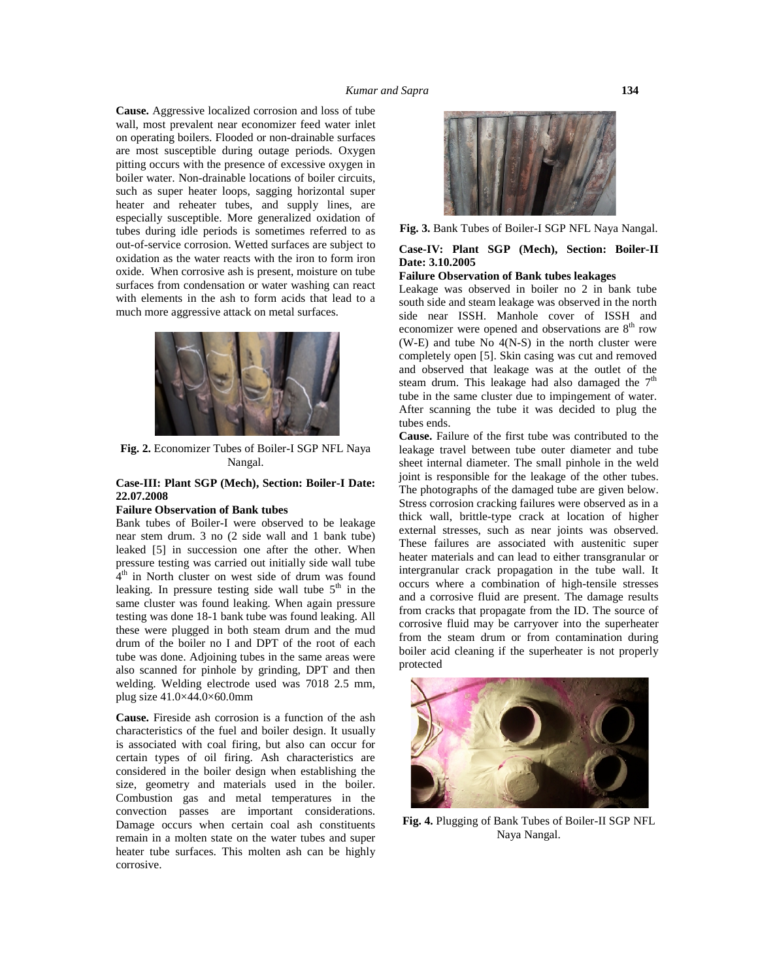**Cause.** Aggressive localized corrosion and loss of tube wall, most prevalent near economizer feed water inlet on operating boilers. Flooded or non-drainable surfaces are most susceptible during outage periods. Oxygen pitting occurs with the presence of excessive oxygen in boiler water. Non-drainable locations of boiler circuits, such as super heater loops, sagging horizontal super heater and reheater tubes, and supply lines, are especially susceptible. More generalized oxidation of tubes during idle periods is sometimes referred to as out-of-service corrosion. Wetted surfaces are subject to oxidation as the water reacts with the iron to form iron oxide. When corrosive ash is present, moisture on tube surfaces from condensation or water washing can react with elements in the ash to form acids that lead to a much more aggressive attack on metal surfaces.



**Fig. 2.** Economizer Tubes of Boiler-I SGP NFL Naya Nangal.

#### **Case-III: Plant SGP (Mech), Section: Boiler-I Date: 22.07.2008**

#### **Failure Observation of Bank tubes**

Bank tubes of Boiler-I were observed to be leakage near stem drum. 3 no (2 side wall and 1 bank tube) leaked [5] in succession one after the other. When pressure testing was carried out initially side wall tube  $\hat{A}^{\text{th}}$  in North cluster on west side of drum was found leaking. In pressure testing side wall tube  $5<sup>th</sup>$  in the same cluster was found leaking. When again pressure testing was done 18-1 bank tube was found leaking. All these were plugged in both steam drum and the mud drum of the boiler no I and DPT of the root of each tube was done. Adjoining tubes in the same areas were also scanned for pinhole by grinding, DPT and then welding. Welding electrode used was 7018 2.5 mm, plug size 41.0×44.0×60.0mm

**Cause.** Fireside ash corrosion is a function of the ash characteristics of the fuel and boiler design. It usually is associated with coal firing, but also can occur for certain types of oil firing. Ash characteristics are considered in the boiler design when establishing the size, geometry and materials used in the boiler. Combustion gas and metal temperatures in the convection passes are important considerations. Damage occurs when certain coal ash constituents remain in a molten state on the water tubes and super heater tube surfaces. This molten ash can be highly corrosive.



**Fig. 3.** Bank Tubes of Boiler-I SGP NFL Naya Nangal.

### **Case-IV: Plant SGP (Mech), Section: Boiler-II Date: 3.10.2005**

## **Failure Observation of Bank tubes leakages**

Leakage was observed in boiler no 2 in bank tube south side and steam leakage was observed in the north side near ISSH. Manhole cover of ISSH and economizer were opened and observations are  $8<sup>th</sup>$  row (W-E) and tube No 4(N-S) in the north cluster were completely open [5]. Skin casing was cut and removed and observed that leakage was at the outlet of the steam drum. This leakage had also damaged the  $7<sup>th</sup>$ tube in the same cluster due to impingement of water. After scanning the tube it was decided to plug the tubes ends.

**Cause.** Failure of the first tube was contributed to the leakage travel between tube outer diameter and tube sheet internal diameter. The small pinhole in the weld joint is responsible for the leakage of the other tubes. The photographs of the damaged tube are given below. Stress corrosion cracking failures were observed as in a thick wall, brittle-type crack at location of higher external stresses, such as near joints was observed. These failures are associated with austenitic super heater materials and can lead to either transgranular or intergranular crack propagation in the tube wall. It occurs where a combination of high-tensile stresses and a corrosive fluid are present. The damage results from cracks that propagate from the ID. The source of corrosive fluid may be carryover into the superheater from the steam drum or from contamination during boiler acid cleaning if the superheater is not properly protected



**Fig. 4.** Plugging of Bank Tubes of Boiler-II SGP NFL Naya Nangal.